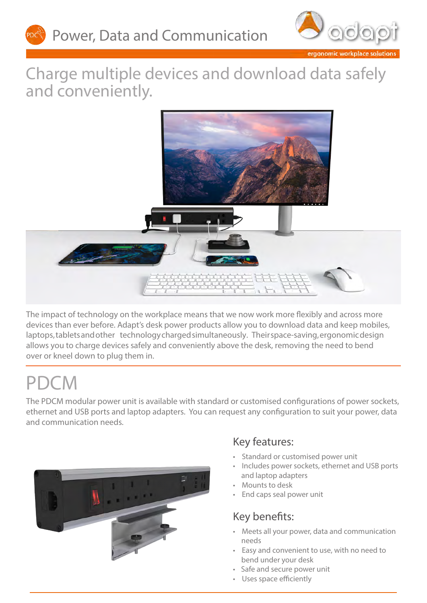



ergonomic workplace solutions

## Charge multiple devices and download data safely and conveniently.



The impact of technology on the workplace means that we now work more flexibly and across more devices than ever before. Adapt's desk power products allow you to download data and keep mobiles, laptops, tablets and other technology charged simultaneously. Their space-saving, ergonomic design allows you to charge devices safely and conveniently above the desk, removing the need to bend over or kneel down to plug them in.

## PDCM

The PDCM modular power unit is available with standard or customised configurations of power sockets, ethernet and USB ports and laptop adapters. You can request any configuration to suit your power, data and communication needs.



#### Key features:

- Standard or customised power unit
- Includes power sockets, ethernet and USB ports and laptop adapters
- Mounts to desk
- End caps seal power unit

## Key benefits:

- Meets all your power, data and communication needs
- Easy and convenient to use, with no need to bend under your desk
- Safe and secure power unit
- Uses space efficiently